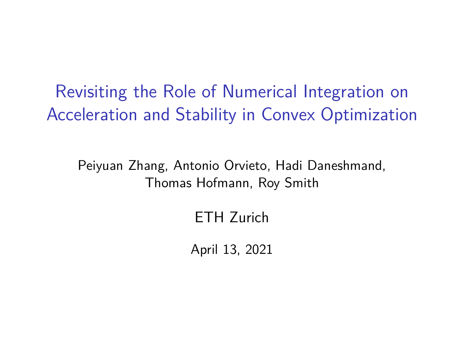Revisiting the Role of Numerical Integration on Acceleration and Stability in Convex Optimization

Peiyuan Zhang, Antonio Orvieto, Hadi Daneshmand, Thomas Hofmann, Roy Smith

ETH Zurich

April 13, 2021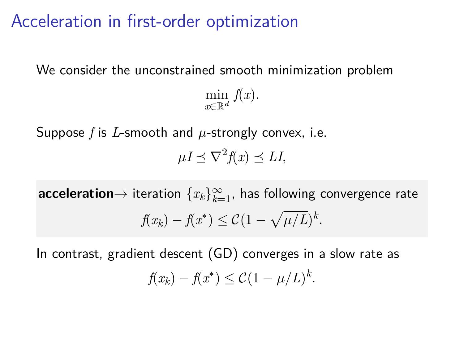### Acceleration in first-order optimization

We consider the unconstrained smooth minimization problem min *<sup>x</sup>∈*R*<sup>d</sup> f*(*x*)*.*

Suppose *f* is *L*-smooth and *µ*-strongly convex, i.e.

 $\mu I \preceq \nabla^2 f(x) \preceq L I$ ,

 $\mathsf{acceleration}{\rightarrow}$  iteration  $\{x_k\}_{k=1}^\infty$ , has following convergence rate *f*(*x*<sub>*k*</sub>) *− f*(*x*<sup>\*</sup>) ≤ *C*(1 *−*  $\sqrt{\mu/L}$ )<sup>*k*</sup>.

In contrast, gradient descent (GD) converges in a slow rate as *f*(*x*<sub>*k*</sub>) *− f*(*x*<sup>\*</sup>) ≤ *C*(1 *− µ*/*L*)<sup>*k*</sup>.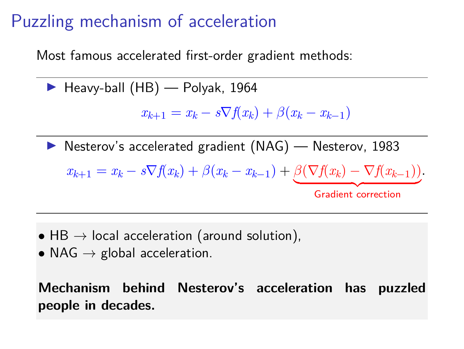# Puzzling mechanism of acceleration

Most famous accelerated first-order gradient methods:

▶ Heavy-ball (HB) — Polyak, 1964

$$
x_{k+1} = x_k - s \nabla f(x_k) + \beta (x_k - x_{k-1})
$$

▶ Nesterov's accelerated gradient (NAG) — Nesterov, 1983

$$
x_{k+1} = x_k - s\nabla f(x_k) + \beta(x_k - x_{k-1}) + \underbrace{\beta(\nabla f(x_k) - \nabla f(x_{k-1}))}_{\text{Gradient correction}}.
$$

- *•* HB *→* local acceleration (around solution),
- *•* NAG *→* global acceleration.

**Mechanism behind Nesterov's acceleration has puzzled people in decades.**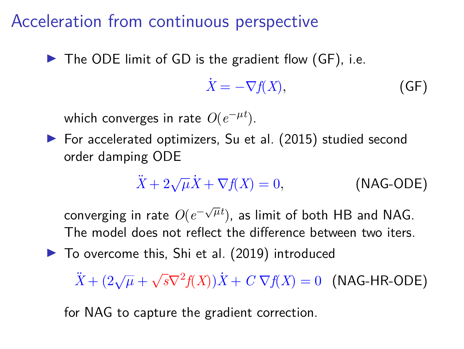#### Acceleration from continuous perspective

▶ The ODE limit of GD is the gradient flow (GF), i.e.

$$
\dot{X} = -\nabla f(X),\tag{GF}
$$

which converges in rate  $O(e^{-\mu t})$ .

▶ For accelerated optimizers, Su et al. (2015) studied second order damping ODE

$$
\ddot{X} + 2\sqrt{\mu}\dot{X} + \nabla f(X) = 0,
$$
 (NAG-ODE)

 $\overline{\text{converging}}$  in rate  $\textit{O}(e^{-\sqrt{\mu}t})$ , as limit of both HB and NAG. The model does not reflect the difference between two iters.

▶ To overcome this, Shi et al. (2019) introduced

 $\ddot{X} + (2\sqrt{\mu} + )$  $\sqrt{s}\nabla^2 f(X)$ ) $\dot{X}$  + *C*  $\nabla f(X)$  = 0 (NAG-HR-ODE)

for NAG to capture the gradient correction.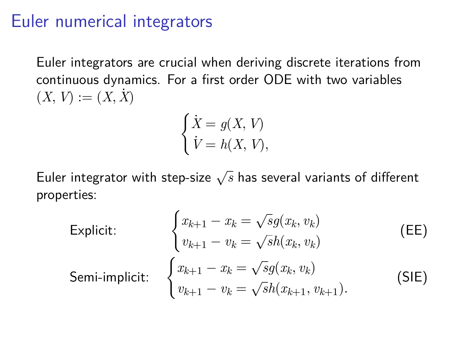#### Euler numerical integrators

Euler integrators are crucial when deriving discrete iterations from continuous dynamics. For a first order ODE with two variables  $(X, V) := (X, X)$ 

$$
\begin{cases} \dot{X} = g(X, V) \\ \dot{V} = h(X, V), \end{cases}
$$

Euler integrator with step-size *<sup>√</sup> s* has several variants of different properties:

Explicit:

\n
$$
\begin{cases}\n x_{k+1} - x_k = \sqrt{s}g(x_k, v_k) \\
 v_{k+1} - v_k = \sqrt{s}h(x_k, v_k)\n\end{cases}
$$
\n(EE)

\nSemi-implicit:

\n
$$
\begin{cases}\n x_{k+1} - x_k = \sqrt{s}g(x_k, v_k) \\
 v_{k+1} - v_k = \sqrt{s}h(x_{k+1}, v_{k+1}).\n\end{cases}
$$
\n(SIE)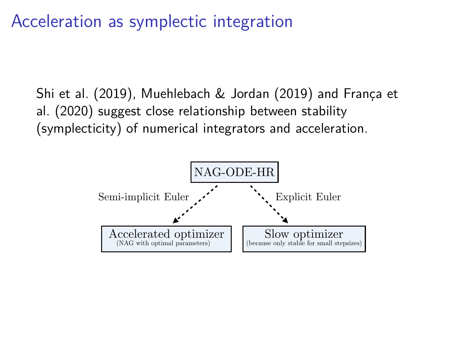#### Acceleration as symplectic integration symplectic integration Accelerated flow 2

Shi et al. (2019), Muehlebach & Jordan (2019) and França et al. (2020) suggest close relationship between stability (symplecticity) of numerical integrators and acceleration.

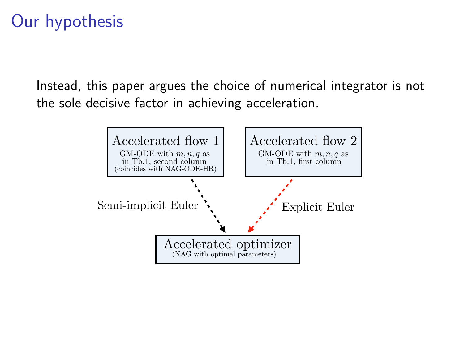# Our hypothesis

Instead, this paper argues the choice of numerical integrator is not the sole decisive factor in achieving acceleration.

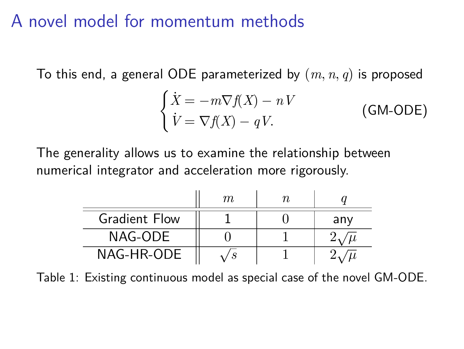### A novel model for momentum methods

To this end, a general ODE parameterized by (*m, n, q*) is proposed

$$
\begin{cases}\n\dot{X} = -m\nabla f(X) - nV \\
\dot{V} = \nabla f(X) - qV.\n\end{cases}
$$
\n(GM-ODE)

The generality allows us to examine the relationship between numerical integrator and acceleration more rigorously.

|                      | m. |     |
|----------------------|----|-----|
| <b>Gradient Flow</b> |    | any |
| NAG-ODE              |    |     |
| NAG-HR-ODE           |    |     |

Table 1: Existing continuous model as special case of the novel GM-ODE.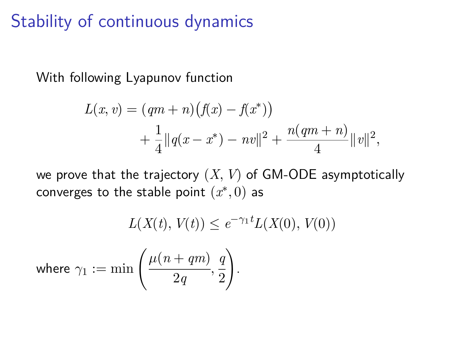# Stability of continuous dynamics

With following Lyapunov function

$$
L(x, v) = (qm + n)(f(x) - f(x^*))
$$
  
+  $\frac{1}{4} ||q(x - x^*) - nv||^2 + \frac{n(qm + n)}{4} ||v||^2$ ,

we prove that the trajectory (*X, V*) of GM-ODE asymptotically  $\,$  converges to the stable point  $(x^*,0)$  as

$$
L(X(t), V(t)) \le e^{-\gamma_1 t} L(X(0), V(0))
$$
  
where  $\gamma_1 := \min \left( \frac{\mu(n+qm)}{2q}, \frac{q}{2} \right)$ .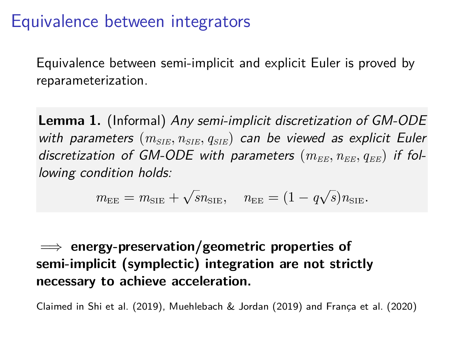#### Equivalence between integrators

Equivalence between semi-implicit and explicit Euler is proved by reparameterization.

**Lemma 1.** (Informal) *Any semi-implicit discretization of GM-ODE with parameters* (*mSIE, nSIE, qSIE*) *can be viewed as explicit Euler* discretization of GM-ODE with parameters  $(m_{EE}, n_{EE}, q_{EE})$  if fol*lowing condition holds:*

$$
m_{\text{EE}} = m_{\text{SIE}} + \sqrt{s} n_{\text{SIE}}, \quad n_{\text{EE}} = (1 - q\sqrt{s}) n_{\text{SIE}}.
$$

=*⇒* **energy-preservation/geometric properties of semi-implicit (symplectic) integration are not strictly necessary to achieve acceleration.**

Claimed in Shi et al. (2019), Muehlebach & Jordan (2019) and França et al. (2020)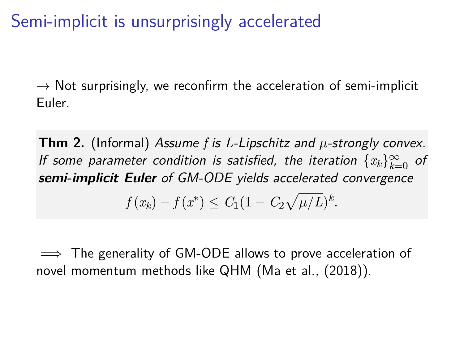Semi-implicit is unsurprisingly accelerated

*→* Not surprisingly, we reconfirm the acceleration of semi-implicit Euler.

**Thm 2.** (Informal) *Assume f is L-Lipschitz and µ-strongly convex. If some parameter condition is satisfied, the iteration*  $\{x_k\}_{k=0}^\infty$  *of semi-implicit Euler of GM-ODE yields accelerated convergence*  $f(x_k) - f(x^*) \leq C_1(1 - C_2\sqrt{\mu/L})^k$ .

=*⇒* The generality of GM-ODE allows to prove acceleration of novel momentum methods like QHM (Ma et al., (2018)).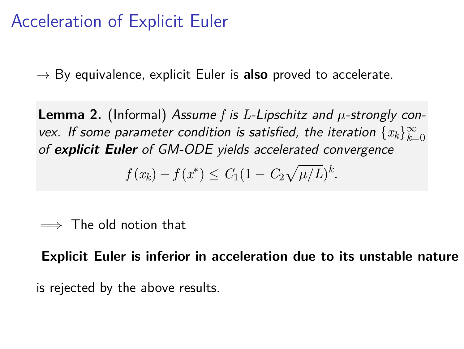# Acceleration of Explicit Euler

*→* By equivalence, explicit Euler is **also** proved to accelerate.

**Lemma 2.** (Informal) *Assume f is L-Lipschitz and µ-strongly convex. If some parameter condition is satisfied, the iteration*  $\{x_k\}_{k=0}^\infty$ *of explicit Euler of GM-ODE yields accelerated convergence*

$$
f(x_k) - f(x^*) \le C_1 (1 - C_2 \sqrt{\mu/L})^k.
$$

=*⇒* The old notion that

**Explicit Euler is inferior in acceleration due to its unstable nature**

is rejected by the above results.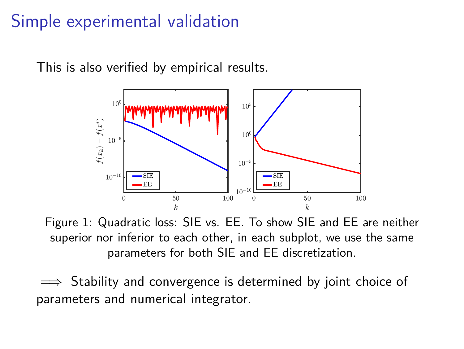# Simple experimental validation

This is also verified by empirical results.



Figure 1: Quadratic loss: SIE vs. EE. To show SIE and EE are neither superior nor inferior to each other, in each subplot, we use the same parameters for both SIE and EE discretization.

=*⇒* Stability and convergence is determined by joint choice of parameters and numerical integrator.